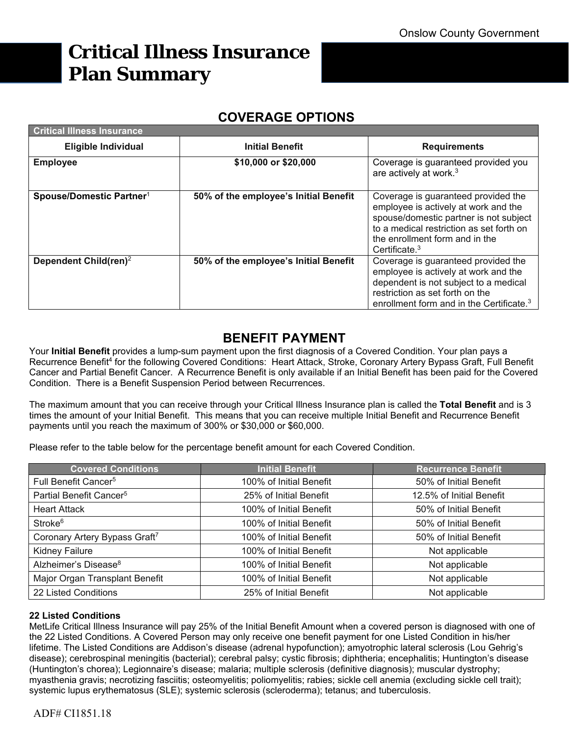# **Critical Illness Insurance Plan Summary**

# **COVERAGE OPTIONS**

| <b>Critical Illness Insurance</b>    |                                       |                                                                                                                                                                                                                         |  |  |  |
|--------------------------------------|---------------------------------------|-------------------------------------------------------------------------------------------------------------------------------------------------------------------------------------------------------------------------|--|--|--|
| <b>Eligible Individual</b>           | <b>Initial Benefit</b>                | <b>Requirements</b>                                                                                                                                                                                                     |  |  |  |
| <b>Employee</b>                      | \$10,000 or \$20,000                  | Coverage is guaranteed provided you<br>are actively at work. <sup>3</sup>                                                                                                                                               |  |  |  |
| Spouse/Domestic Partner <sup>1</sup> | 50% of the employee's Initial Benefit | Coverage is guaranteed provided the<br>employee is actively at work and the<br>spouse/domestic partner is not subject<br>to a medical restriction as set forth on<br>the enrollment form and in the<br>Certificate. $3$ |  |  |  |
| Dependent Child(ren) <sup>2</sup>    | 50% of the employee's Initial Benefit | Coverage is guaranteed provided the<br>employee is actively at work and the<br>dependent is not subject to a medical<br>restriction as set forth on the<br>enrollment form and in the Certificate. <sup>3</sup>         |  |  |  |

# **BENEFIT PAYMENT**

Your **Initial Benefit** provides a lump-sum payment upon the first diagnosis of a Covered Condition. Your plan pays a Recurrence Benefit<sup>4</sup> for the following Covered Conditions: Heart Attack, Stroke, Coronary Artery Bypass Graft, Full Benefit Cancer and Partial Benefit Cancer. A Recurrence Benefit is only available if an Initial Benefit has been paid for the Covered Condition. There is a Benefit Suspension Period between Recurrences.

The maximum amount that you can receive through your Critical Illness Insurance plan is called the **Total Benefit** and is 3 times the amount of your Initial Benefit. This means that you can receive multiple Initial Benefit and Recurrence Benefit payments until you reach the maximum of 300% or \$30,000 or \$60,000.

Please refer to the table below for the percentage benefit amount for each Covered Condition.

| <b>Covered Conditions</b>                 | <b>Initial Benefit</b>                            | <b>Recurrence Benefit</b> |
|-------------------------------------------|---------------------------------------------------|---------------------------|
| Full Benefit Cancer <sup>5</sup>          | 100% of Initial Benefit<br>50% of Initial Benefit |                           |
| Partial Benefit Cancer <sup>5</sup>       | 25% of Initial Benefit                            | 12.5% of Initial Benefit  |
| <b>Heart Attack</b>                       | 100% of Initial Benefit                           | 50% of Initial Benefit    |
| Stroke <sup>6</sup>                       | 100% of Initial Benefit                           | 50% of Initial Benefit    |
| Coronary Artery Bypass Graft <sup>7</sup> | 100% of Initial Benefit                           | 50% of Initial Benefit    |
| Kidney Failure                            | 100% of Initial Benefit                           | Not applicable            |
| Alzheimer's Disease <sup>8</sup>          | 100% of Initial Benefit                           | Not applicable            |
| Major Organ Transplant Benefit            | 100% of Initial Benefit                           | Not applicable            |
| 22 Listed Conditions                      | Not applicable<br>25% of Initial Benefit          |                           |

## **22 Listed Conditions**

MetLife Critical Illness Insurance will pay 25% of the Initial Benefit Amount when a covered person is diagnosed with one of the 22 Listed Conditions. A Covered Person may only receive one benefit payment for one Listed Condition in his/her lifetime. The Listed Conditions are Addison's disease (adrenal hypofunction); amyotrophic lateral sclerosis (Lou Gehrig's disease); cerebrospinal meningitis (bacterial); cerebral palsy; cystic fibrosis; diphtheria; encephalitis; Huntington's disease (Huntington's chorea); Legionnaire's disease; malaria; multiple sclerosis (definitive diagnosis); muscular dystrophy; myasthenia gravis; necrotizing fasciitis; osteomyelitis; poliomyelitis; rabies; sickle cell anemia (excluding sickle cell trait); systemic lupus erythematosus (SLE); systemic sclerosis (scleroderma); tetanus; and tuberculosis.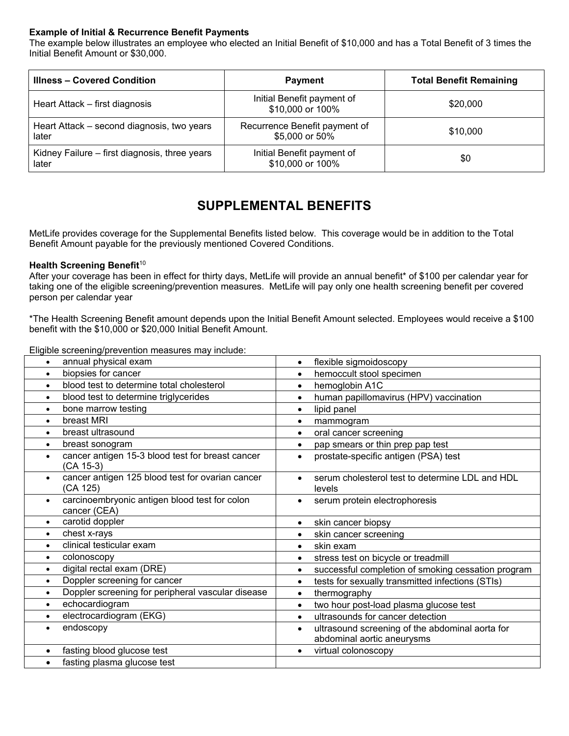### **Example of Initial & Recurrence Benefit Payments**

The example below illustrates an employee who elected an Initial Benefit of \$10,000 and has a Total Benefit of 3 times the Initial Benefit Amount or \$30,000.

| <b>Illness - Covered Condition</b>                     | <b>Payment</b>                                  | <b>Total Benefit Remaining</b> |
|--------------------------------------------------------|-------------------------------------------------|--------------------------------|
| Heart Attack – first diagnosis                         | Initial Benefit payment of<br>\$10,000 or 100%  | \$20,000                       |
| Heart Attack - second diagnosis, two years<br>later    | Recurrence Benefit payment of<br>\$5,000 or 50% | \$10,000                       |
| Kidney Failure – first diagnosis, three years<br>later | Initial Benefit payment of<br>\$10,000 or 100%  | \$0                            |

# **SUPPLEMENTAL BENEFITS**

MetLife provides coverage for the Supplemental Benefits listed below. This coverage would be in addition to the Total Benefit Amount payable for the previously mentioned Covered Conditions.

#### **Health Screening Benefit<sup>10</sup>**

After your coverage has been in effect for thirty days, MetLife will provide an annual benefit\* of \$100 per calendar year for taking one of the eligible screening/prevention measures. MetLife will pay only one health screening benefit per covered person per calendar year

\*The Health Screening Benefit amount depends upon the Initial Benefit Amount selected. Employees would receive a \$100 benefit with the \$10,000 or \$20,000 Initial Benefit Amount.

Eligible screening/prevention measures may include:

| annual physical exam                                                       | flexible sigmoidoscopy                                                                     |
|----------------------------------------------------------------------------|--------------------------------------------------------------------------------------------|
| $\bullet$                                                                  | $\bullet$                                                                                  |
| biopsies for cancer                                                        | hemoccult stool specimen                                                                   |
| $\bullet$                                                                  | $\bullet$                                                                                  |
| blood test to determine total cholesterol                                  | hemoglobin A1C                                                                             |
| $\bullet$                                                                  | $\bullet$                                                                                  |
| blood test to determine triglycerides                                      | human papillomavirus (HPV) vaccination                                                     |
| $\bullet$                                                                  | $\bullet$                                                                                  |
| bone marrow testing                                                        | lipid panel                                                                                |
| $\bullet$                                                                  | $\bullet$                                                                                  |
| breast MRI                                                                 | mammogram                                                                                  |
| $\bullet$                                                                  | $\bullet$                                                                                  |
| breast ultrasound                                                          | oral cancer screening                                                                      |
| $\bullet$                                                                  | $\bullet$                                                                                  |
| breast sonogram                                                            | pap smears or thin prep pap test                                                           |
| $\bullet$                                                                  | $\bullet$                                                                                  |
| cancer antigen 15-3 blood test for breast cancer<br>$\bullet$<br>(CA 15-3) | prostate-specific antigen (PSA) test<br>$\bullet$                                          |
| cancer antigen 125 blood test for ovarian cancer<br>$\bullet$<br>(CA 125)  | serum cholesterol test to determine LDL and HDL<br>levels                                  |
| carcinoembryonic antigen blood test for colon<br>$\bullet$<br>cancer (CEA) | serum protein electrophoresis<br>$\bullet$                                                 |
| carotid doppler                                                            | skin cancer biopsy                                                                         |
| $\bullet$                                                                  | $\bullet$                                                                                  |
| chest x-rays                                                               | skin cancer screening                                                                      |
| $\bullet$                                                                  | $\bullet$                                                                                  |
| clinical testicular exam                                                   | skin exam                                                                                  |
| $\bullet$                                                                  | $\bullet$                                                                                  |
| colonoscopy                                                                | stress test on bicycle or treadmill                                                        |
| $\bullet$                                                                  | $\bullet$                                                                                  |
| digital rectal exam (DRE)                                                  | successful completion of smoking cessation program                                         |
| $\bullet$                                                                  | $\bullet$                                                                                  |
| Doppler screening for cancer                                               | tests for sexually transmitted infections (STIs)                                           |
| $\bullet$                                                                  | $\bullet$                                                                                  |
| Doppler screening for peripheral vascular disease                          | thermography                                                                               |
| $\bullet$                                                                  | $\bullet$                                                                                  |
| echocardiogram                                                             | two hour post-load plasma glucose test                                                     |
| $\bullet$                                                                  | $\bullet$                                                                                  |
| electrocardiogram (EKG)                                                    | ultrasounds for cancer detection                                                           |
| $\bullet$                                                                  | $\bullet$                                                                                  |
| endoscopy<br>$\bullet$                                                     | ultrasound screening of the abdominal aorta for<br>$\bullet$<br>abdominal aortic aneurysms |
| fasting blood glucose test                                                 | virtual colonoscopy                                                                        |
| $\bullet$                                                                  | $\bullet$                                                                                  |
| fasting plasma glucose test<br>$\bullet$                                   |                                                                                            |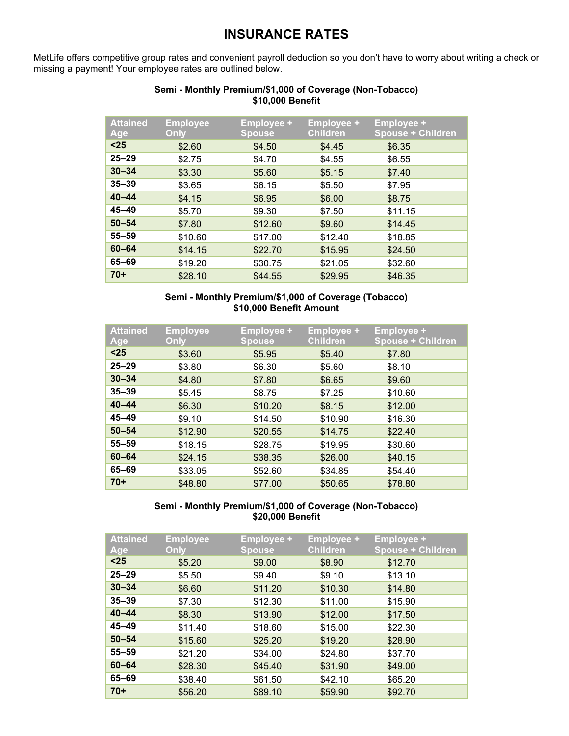# **INSURANCE RATES**

MetLife offers competitive group rates and convenient payroll deduction so you don't have to worry about writing a check or missing a payment! Your employee rates are outlined below.

| <b>Attained</b><br>Age | <b>Employee</b><br>Only | <b>Employee +</b><br><b>Spouse</b> | <b>Employee +</b><br><b>Children</b> | <b>Employee +</b><br><b>Spouse + Children</b> |
|------------------------|-------------------------|------------------------------------|--------------------------------------|-----------------------------------------------|
| $25$                   | \$2.60                  | \$4.50                             | \$4.45                               | \$6.35                                        |
| $25 - 29$              | \$2.75                  | \$4.70                             | \$4.55                               | \$6.55                                        |
| $30 - 34$              | \$3.30                  | \$5.60                             | \$5.15                               | \$7.40                                        |
| $35 - 39$              | \$3.65                  | \$6.15                             | \$5.50                               | \$7.95                                        |
| $40 - 44$              | \$4.15                  | \$6.95                             | \$6.00                               | \$8.75                                        |
| $45 - 49$              | \$5.70                  | \$9.30                             | \$7.50                               | \$11.15                                       |
| $50 - 54$              | \$7.80                  | \$12.60                            | \$9.60                               | \$14.45                                       |
| $55 - 59$              | \$10.60                 | \$17.00                            | \$12.40                              | \$18.85                                       |
| $60 - 64$              | \$14.15                 | \$22.70                            | \$15.95                              | \$24.50                                       |
| 65-69                  | \$19.20                 | \$30.75                            | \$21.05                              | \$32.60                                       |
| $70+$                  | \$28.10                 | \$44.55                            | \$29.95                              | \$46.35                                       |

### **Semi - Monthly Premium/\$1,000 of Coverage (Non-Tobacco) \$10,000 Benefit**

### **Semi - Monthly Premium/\$1,000 of Coverage (Tobacco) \$10,000 Benefit Amount**

| <b>Attained</b><br>Age | <b>Employee</b><br>Only | <b>Employee +</b><br><b>Spouse</b> | <b>Employee +</b><br><b>Children</b> | <b>Employee +</b><br><b>Spouse + Children</b> |
|------------------------|-------------------------|------------------------------------|--------------------------------------|-----------------------------------------------|
| $25$                   | \$3.60                  | \$5.95                             | \$5.40                               | \$7.80                                        |
| $25 - 29$              | \$3.80                  | \$6.30                             | \$5.60                               | \$8.10                                        |
| $30 - 34$              | \$4.80                  | \$7.80                             | \$6.65                               | \$9.60                                        |
| $35 - 39$              | \$5.45                  | \$8.75                             | \$7.25                               | \$10.60                                       |
| $40 - 44$              | \$6.30                  | \$10.20                            | \$8.15                               | \$12.00                                       |
| $45 - 49$              | \$9.10                  | \$14.50                            | \$10.90                              | \$16.30                                       |
| $50 - 54$              | \$12.90                 | \$20.55                            | \$14.75                              | \$22.40                                       |
| $55 - 59$              | \$18.15                 | \$28.75                            | \$19.95                              | \$30.60                                       |
| $60 - 64$              | \$24.15                 | \$38.35                            | \$26.00                              | \$40.15                                       |
| 65-69                  | \$33.05                 | \$52.60                            | \$34.85                              | \$54.40                                       |
| $70+$                  | \$48.80                 | \$77.00                            | \$50.65                              | \$78.80                                       |

### **Semi - Monthly Premium/\$1,000 of Coverage (Non-Tobacco) \$20,000 Benefit**

| <b>Attained</b><br>Age | <b>Employee</b><br>Only | <b>Employee +</b><br><b>Spouse</b> | <b>Employee +</b><br><b>Children</b> | <b>Employee +</b><br><b>Spouse + Children</b> |
|------------------------|-------------------------|------------------------------------|--------------------------------------|-----------------------------------------------|
| $25$                   | \$5.20                  | \$9.00                             | \$8.90                               | \$12.70                                       |
| $25 - 29$              | \$5.50                  | \$9.40                             | \$9.10                               | \$13.10                                       |
| $30 - 34$              | \$6.60                  | \$11.20                            | \$10.30                              | \$14.80                                       |
| $35 - 39$              | \$7.30                  | \$12.30                            | \$11.00                              | \$15.90                                       |
| $40 - 44$              | \$8.30                  | \$13.90                            | \$12.00                              | \$17.50                                       |
| $45 - 49$              | \$11.40                 | \$18.60                            | \$15.00                              | \$22.30                                       |
| $50 - 54$              | \$15.60                 | \$25.20                            | \$19.20                              | \$28.90                                       |
| $55 - 59$              | \$21.20                 | \$34.00                            | \$24.80                              | \$37.70                                       |
| $60 - 64$              | \$28.30                 | \$45.40                            | \$31.90                              | \$49.00                                       |
| 65-69                  | \$38.40                 | \$61.50                            | \$42.10                              | \$65.20                                       |
| $70+$                  | \$56.20                 | \$89.10                            | \$59.90                              | \$92.70                                       |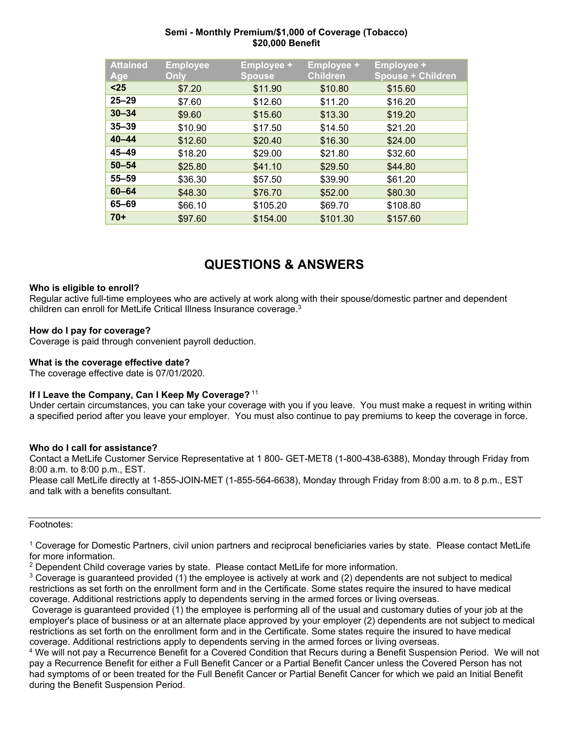### **Semi - Monthly Premium/\$1,000 of Coverage (Tobacco) \$20,000 Benefit**

| <b>Attained</b><br>Age | <b>Employee</b><br>Only | <b>Employee +</b><br><b>Spouse</b> | <b>Employee +</b><br><b>Children</b> | <b>Employee +</b><br><b>Spouse + Children</b> |
|------------------------|-------------------------|------------------------------------|--------------------------------------|-----------------------------------------------|
| $25$                   | \$7.20                  | \$11.90                            | \$10.80                              | \$15.60                                       |
| $25 - 29$              | \$7.60                  | \$12.60                            | \$11.20                              | \$16.20                                       |
| $30 - 34$              | \$9.60                  | \$15.60                            | \$13.30                              | \$19.20                                       |
| $35 - 39$              | \$10.90                 | \$17.50                            | \$14.50                              | \$21.20                                       |
| $40 - 44$              | \$12.60                 | \$20.40                            | \$16.30                              | \$24.00                                       |
| $45 - 49$              | \$18.20                 | \$29.00                            | \$21.80                              | \$32.60                                       |
| $50 - 54$              | \$25.80                 | \$41.10                            | \$29.50                              | \$44.80                                       |
| $55 - 59$              | \$36.30                 | \$57.50                            | \$39.90                              | \$61.20                                       |
| $60 - 64$              | \$48.30                 | \$76.70                            | \$52.00                              | \$80.30                                       |
| 65-69                  | \$66.10                 | \$105.20                           | \$69.70                              | \$108.80                                      |
| $70+$                  | \$97.60                 | \$154.00                           | \$101.30                             | \$157.60                                      |

# **QUESTIONS & ANSWERS**

#### **Who is eligible to enroll?**

Regular active full-time employees who are actively at work along with their spouse/domestic partner and dependent children can enroll for MetLife Critical Illness Insurance coverage.3

#### **How do I pay for coverage?**

Coverage is paid through convenient payroll deduction.

#### **What is the coverage effective date?**

The coverage effective date is 07/01/2020.

### **If I Leave the Company, Can I Keep My Coverage?** <sup>11</sup>

Under certain circumstances, you can take your coverage with you if you leave. You must make a request in writing within a specified period after you leave your employer. You must also continue to pay premiums to keep the coverage in force.

#### **Who do I call for assistance?**

Contact a MetLife Customer Service Representative at 1 800- GET-MET8 (1-800-438-6388), Monday through Friday from 8:00 a.m. to 8:00 p.m., EST.

Please call MetLife directly at 1-855-JOIN-MET (1-855-564-6638), Monday through Friday from 8:00 a.m. to 8 p.m., EST and talk with a benefits consultant.

#### Footnotes:

1 Coverage for Domestic Partners, civil union partners and reciprocal beneficiaries varies by state. Please contact MetLife for more information.

 $2$  Dependent Child coverage varies by state. Please contact MetLife for more information.

 $3$  Coverage is guaranteed provided (1) the employee is actively at work and (2) dependents are not subject to medical restrictions as set forth on the enrollment form and in the Certificate. Some states require the insured to have medical coverage. Additional restrictions apply to dependents serving in the armed forces or living overseas.

 Coverage is guaranteed provided (1) the employee is performing all of the usual and customary duties of your job at the employer's place of business or at an alternate place approved by your employer (2) dependents are not subject to medical restrictions as set forth on the enrollment form and in the Certificate. Some states require the insured to have medical coverage. Additional restrictions apply to dependents serving in the armed forces or living overseas.

4 We will not pay a Recurrence Benefit for a Covered Condition that Recurs during a Benefit Suspension Period. We will not pay a Recurrence Benefit for either a Full Benefit Cancer or a Partial Benefit Cancer unless the Covered Person has not had symptoms of or been treated for the Full Benefit Cancer or Partial Benefit Cancer for which we paid an Initial Benefit during the Benefit Suspension Period.